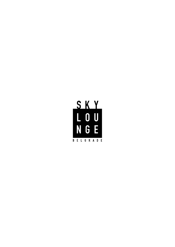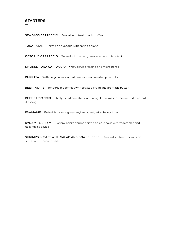

SEA BASS CARPACCIO Served with fresh black truffles

TUNA TATAR Served on avocado with spring onions

**OCTOPUS CARPACCIO** Served with mixed green salad and citrus fruit

SMOKED TUNA CARPACCIO With citrus dressing and micro herbs

BURRATA With arugula, marinated beetroot and roasted pine nuts

BEEF TATARE Tenderloin beef filet with toasted bread and aromatic butter

BEEF CARPACCIO Thinly sliced beefsteak with arugula, parmesan cheese, and mustard dressing

EDAMAME Boiled Japanese green soybeans, salt, sriracha optional

DYNAMITE SHRIMP Crispy panko shrimp served on couscous with vegetables and hollandaise sauce

SHRIMPS IN SAFT WITH SALAD AND GOAT CHEESE Cleaned sautéed shrimps on butter and aromatic herbs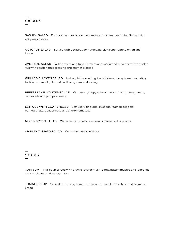

SASHIMI SALAD Fresh salmon, crab sticks, cucumber, crispy tempura, tobiko. Served with spicy mayonnaise

OCTOPUS SALAD Served with potatoes, tomatoes, parsley, caper, spring onion and fennel

AVOCADO SALAD With prawns and tuna / prawns and marinated tuna, served on a salad mix with passion fruit dressing and aromatic bread

GRILLED CHICKEN SALAD lceberg lettuce with grilled chicken, cherry tomatoes, crispy tortilla, mozzarella, almond and honey-lemon dressing

BEEFSTEAK IN OYSTER SAUCE With fresh, crispy salad. cherry tomato, pomegranate, mozzarella and pumpkin seeds

LETTUCE WITH GOAT CHEESE Lettuce with pumpkin seeds, roasted peppers, pomegranate, goat cheese and cherry tomatoes

MIXED GREEN SALAD With cherry tomato, parmesan cheese and pine nuts

CHERRY TOMATO SALAD With mozzarella and basil

# **SOUPS**

TOM YUM Thai soup served with prawns, oyster mushrooms, button mushrooms, coconut cream, cilantro and spring onion

TOMATO SOUP Served with cherry tomatoes, baby mozzarella, fresh basil and aromatic bread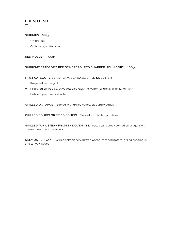

#### SHRIMPS 100gr

- − On the grill
- − On buzara, white or red

RED MULLET 100gr

#### SUPREME CATEGORY, RED SEA BREAM, RED SNAPPER, JOHN DORY 100gr

#### FIRST CATEGORY, SEA BREAM, SEA BASS, BRILL, SOUL FISH

- − Prepared on the grill
- − Prepared on wood with vegetables /ask the waiter for the availability of fish/
- − Fish leaf prepared in butter

GRILLED OCTOPUS Served with grilled vegetables and wedges

GRILLED SQUIDS OR FRIED SQUIDS Served with boiled potatoes

GRILLED TUNA STEAK FROM THE OVEN Marinated tuna steak served on arugula with cherry tomato and pine nuts

SALMON TERIYAKI Grilled salmon served with wasabi mashed potato, grilled asparagus and teriyaki sauce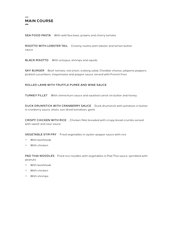## **MAIN COURSE**

SEA FOOD PASTA With wild Sea bass, prawns and cherry tomato

RISOTTO WITH LOBSTER TAIL Creamy risotto with lobster and lemon butter sauce

BLACK RISOTTO With octopus, shrimps and squids

SKY BURGER Beef, tomato, red onion, iceberg salad, Cheddar cheese, jalapeno peppers, pickled cucumbers, mayonnaise and pepper sauce, served with French fries

#### ROLLED LAMB WITH TRUFFLE PUREE AND WINE SAUCE

TURKEY FILLET With chimichurri sauce and sautéed carrot on butter and honey

DUCK DRUMSTICK WITH CRANBERRY SAUCE Duck drumstick with potatoes in butter in cranberry sauce, olives, sun-dried tomatoes, garlic

CRISPY CHICKEN WITH RICE Chicken fillet breaded with crispy bread crumbs served with sweet and sour sauce

VEGETABLE STIR FRY Fried vegetables in oyster-pepper sauce with rice

- − With beefsteak
- − With chicken

PAD THAI NOODLES Fried rice noodles with vegetables in Pad Thai sauce, sprinkled with peanuts

- − With beefsteak
- − With chicken
- − With shrimps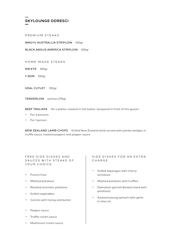

PREMIUM STEAKS

WAGYU AUSTRALIJA STRIPLOIN 100gr

BLACK ANGUS AMERICA STRIPLOIN 100gr

HOME-MADE STEAKS

RIB EYE 100gr

T-BON 100gr

VEAL CUTLET 100gr

TENDERLOIN portion 270gr

BEEF TAGLIATA On a platter roasted in hot butter /prepared in front of the guest/

− For 2 persons

For 1 person

NEW ZEALAND LAMB CHOPS Grilled New Zealand lamb served with potato wedges in truffle sauce, roasted peppers and pepper sauce

FREE SIDE DISHES AND SAUCES WITH STEAKS OF YOUR CHOICE

- − French fries
- − Mashed potatoes
- − Roasted aromatic potatoes
- − Grilled vegetables
- − Carrots with honey and butter
- − Pepper sauce
- − Truffle cream sauce
- − Mushroom cream sauce

#### SIDE DISHES FOR AN EXTRA CHARGE

- − Grilled asparagus with cherry tomatoes
- − Mashed potatoes with truffles
- − Dalmatian garnish (boiled chard with potatoes)
- − Sauteed young spinach with garlic in olive oil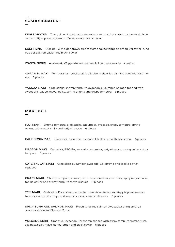## **SUSHI SIGNATURE**

KING LOBSTER Thinly sliced Lobster steam cream lemon butter served topped with Rice mix with tiger prawn cream truffle sauce and black caviar

SUSHI KING Rice mix with tiger prawn cream truffle sauce topped salmon, yellowtail, tuna, bbq eel, salmon caviar and black caviar

WAGYU NIGIRI Australijski Wagyu striploin sa terijaki I balzamik sosom 2 pieces

CARAMEL MAKI Tempura gambor, štapići od krabe, hrskavi kraba miks, avokado, karamel sos 8 pieces

YAKUZA MAKI Crab sticks, shrimp tempura, avocado, cucumber. Salmon topped with sweet chili sauce, mayonnaise, spring onions and crispy tempura 8 pieces

### **MAKI ROLL**

FUJI MAKI Shrimp tempura, crab sticks, cucumber, avocado, crispy tempura, spring onions with sweet chilly and teriyaki sauce 6 pieces

CALIFORNIA MAKI Crab stick, cucumber, avocado, Ebi shrimp and tobiko caviar 6 pieces

DRAGON MAKI Crab stick, BBQ Eel, avocado, cucumber, teriyaki sauce, spring onion, crispy tempura 6 pieces

CATERPILLAR MAKI Crab stick, cucumber, avocado, Ebi shrimp and tobiko caviar 6 pieces

CRAZY MAKI Shrimp tempura, salmon, avocado, cucumber, crab stick, spicy mayonnaise, tobiko caviar and crispy tempura teriyaki sauce 6 pieces

TEM MAKI Crab stick, Ebi shrimp, cucumber, deep fried tempura crispy topped salmon tuna avocado spicy mayo and salmon caviar, sweet chili sauce 6 pieces

SPICY TUNA AND SALMON MAKI Fresh tuna and salmon, Avocado, spring onion, 3 pieces' salmon and 3pieces Tuna

VOLCANO MAKI Crab stick, avocado, Ebi shrimp, topped with crispy tempura salmon, tuna, sea bass, spicy mayo, honey lemon and black caviar 6 pieces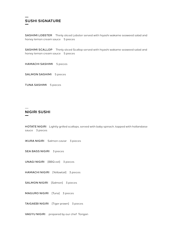## **SUSHI SIGNATURE**

SASHIMI LOBSTER Thinly sliced Lobster served with hiyashi wakame seaweed salad and honey lemon cream sauce 5 pieces

SASHIMI SCALLOP Thinly sliced Scallop served with hiyashi wakame seaweed salad and honey lemon cream sauce 5 pieces

HAMACHI SASHIMI 5 pieces

SALMON SASHIMI 5 pieces

TUNA SASHIMI 5 pieces

### **NIGIRI SUSHI**

HOTATE NIGIRI Lightly grilled scallops, served with baby spinach, topped with hollandaise sauce 3 pieces

IKURA NIGIRI Salmon caviar 3 pieces

SEA BASS NIGIRI 3 pieces

UNAGI NIGIRI [BBQ eel] 3 pieces

HAMACHI NIGIRI [Yellowtail] 3 pieces

SALMON NIGIRI [Salmon] 3 pieces

MAGURO NIGIRI [Tuna] 3 pieces

TAIGAEBI NIGIRI [Tiger prawn] 3 pieces

VAGYU NIGIRI prepared by our chef Tongan